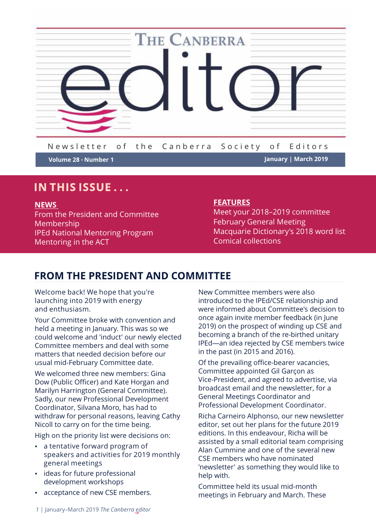

New sletter of the Canberra Society of Editors

**Volume 28 Number 1 January | March 2019**

# **IN THIS ISSUE . . .**

#### **NEWS**

From the President and Committee Membership IPEd National Mentoring Program Mentoring in the ACT

# **FEATURES**

Meet your 2018–2019 committee February General Meeting Macquarie Dictionary's 2018 word list Comical collections

# **FROM THE PRESIDENT AND COMMITTEE**

Welcome back! We hope that you're launching into 2019 with energy and enthusiasm.

Your Committee broke with convention and held a meeting in January. This was so we could welcome and 'induct' our newly elected Committee members and deal with some matters that needed decision before our usual mid-February Committee date.

We welcomed three new members: Gina Dow (Public Officer) and Kate Horgan and Marilyn Harrington (General Committee). Sadly, our new Professional Development Coordinator, Silvana Moro, has had to withdraw for personal reasons, leaving Cathy Nicoll to carry on for the time being.

High on the priority list were decisions on:

- a tentative forward program of speakers and activities for 2019 monthly general meetings
- ideas for future professional development workshops
- acceptance of new CSE members.

New Committee members were also introduced to the IPEd/CSE relationship and were informed about Committee's decision to once again invite member feedback (in June 2019) on the prospect of winding up CSE and becoming a branch of the re-birthed unitary IPEd—an idea rejected by CSE members twice in the past (in 2015 and 2016).

Of the prevailing office-bearer vacancies, Committee appointed Gil Garcon as Vice-President, and agreed to advertise, via broadcast email and the newsletter, for a General Meetings Coordinator and Professional Development Coordinator.

Richa Carneiro Alphonso, our new newsletter editor, set out her plans for the future 2019 editions. In this endeavour, Richa will be assisted by a small editorial team comprising Alan Cummine and one of the several new CSE members who have nominated 'newsletter' as something they would like to help with.

Committee held its usual mid-month meetings in February and March. These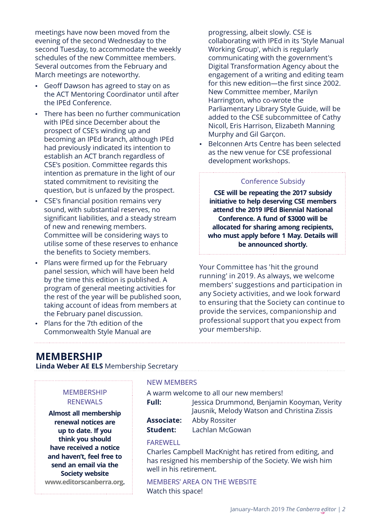meetings have now been moved from the evening of the second Wednesday to the second Tuesday, to accommodate the weekly schedules of the new Committee members. Several outcomes from the February and March meetings are noteworthy.

- Geoff Dawson has agreed to stay on as the ACT Mentoring Coordinator until after the IPEd Conference.
- There has been no further communication with IPEd since December about the prospect of CSE's winding up and becoming an IPEd branch, although IPEd had previously indicated its intention to establish an ACT branch regardless of CSE's position. Committee regards this intention as premature in the light of our stated commitment to revisiting the question, but is unfazed by the prospect.
- CSE's financial position remains very sound, with substantial reserves, no significant liabilities, and a steady stream of new and renewing members. Committee will be considering ways to utilise some of these reserves to enhance the benefits to Society members.
- Plans were firmed up for the February panel session, which will have been held by the time this edition is published. A program of general meeting activities for the rest of the year will be published soon, taking account of ideas from members at the February panel discussion.
- Plans for the 7th edition of the Commonwealth Style Manual are

progressing, albeit slowly. CSE is collaborating with IPEd in its 'Style Manual Working Group', which is regularly communicating with the government's Digital Transformation Agency about the engagement of a writing and editing team for this new edition—the first since 2002. New Committee member, Marilyn Harrington, who co-wrote the Parliamentary Library Style Guide, will be added to the CSE subcommittee of Cathy Nicoll, Eris Harrison, Elizabeth Manning Murphy and Gil Garçon.

 Belconnen Arts Centre has been selected as the new venue for CSE professional development workshops.

#### Conference Subsidy

**CSE will be repeating the 2017 subsidy initiative to help deserving CSE members attend the 2019 IPEd Biennial National Conference. A fund of \$3000 will be allocated for sharing among recipients, who must apply before 1 May. Details will be announced shortly.**

Your Committee has 'hit the ground running' in 2019. As always, we welcome members' suggestions and participation in any Society activities, and we look forward to ensuring that the Society can continue to provide the services, companionship and professional support that you expect from your membership.

# **MEMBERSHIP**

**Linda Weber AE ELS** Membership Secretary

# **MEMBERSHIP** RENEWALS

**Almost all membership renewal notices are up to date. If you think you should have received a notice and haven't, feel free to send an email via the Society website www.editorscanberra.org.**

#### NEW MEMBERS

| A warm welcome to all our new members! |                                             |  |
|----------------------------------------|---------------------------------------------|--|
| Full:                                  | Jessica Drummond, Benjamin Kooyman, Verity  |  |
|                                        | Jausnik, Melody Watson and Christina Zissis |  |
| <b>Associate:</b>                      | Abby Rossiter                               |  |
| <b>Student:</b>                        | Lachlan McGowan                             |  |
|                                        |                                             |  |

#### FAREWELL

Charles Campbell MacKnight has retired from editing, and has resigned his membership of the Society. We wish him well in his retirement.

MEMBERS' AREA ON THE WEBSITE Watch this space!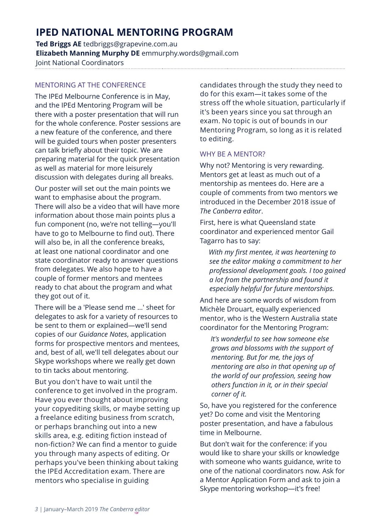# **IPED NATIONAL MENTORING PROGRAM**

**Ted Briggs AE** tedbriggs@grapevine.com.au **Elizabeth Manning Murphy DE** emmurphy.words@gmail.com Joint National Coordinators

# MENTORING AT THE CONFERENCE

The IPEd Melbourne Conference is in May, and the IPEd Mentoring Program will be there with a poster presentation that will run for the whole conference. Poster sessions are a new feature of the conference, and there will be guided tours when poster presenters can talk briefly about their topic. We are preparing material for the quick presentation as well as material for more leisurely discussion with delegates during all breaks.

Our poster will set out the main points we want to emphasise about the program. There will also be a video that will have more information about those main points plus a fun component (no, we're not telling—you'll have to go to Melbourne to find out). There will also be, in all the conference breaks, at least one national coordinator and one state coordinator ready to answer questions from delegates. We also hope to have a couple of former mentors and mentees ready to chat about the program and what they got out of it.

There will be a 'Please send me …' sheet for delegates to ask for a variety of resources to be sent to them or explained—we'll send copies of our *Guidance Notes*, application forms for prospective mentors and mentees, and, best of all, we'll tell delegates about our Skype workshops where we really get down to tin tacks about mentoring.

But you don't have to wait until the conference to get involved in the program. Have you ever thought about improving your copyediting skills, or maybe setting up a freelance editing business from scratch, or perhaps branching out into a new skills area, e.g. editing fiction instead of non-fiction? We can find a mentor to guide you through many aspects of editing. Or perhaps you've been thinking about taking the IPEd Accreditation exam. There are mentors who specialise in guiding

candidates through the study they need to do for this exam—it takes some of the stress off the whole situation, particularly if it's been years since you sat through an exam. No topic is out of bounds in our Mentoring Program, so long as it is related to editing.

## WHY BE A MENTOR?

Why not? Mentoring is very rewarding. Mentors get at least as much out of a mentorship as mentees do. Here are a couple of comments from two mentors we introduced in the December 2018 issue of *The Canberra editor*.

First, here is what Queensland state coordinator and experienced mentor Gail Tagarro has to say:

*With my first mentee, it was heartening to see the editor making a commitment to her professional development goals. I too gained a lot from the partnership and found it especially helpful for future mentorships.*

And here are some words of wisdom from Michèle Drouart, equally experienced mentor, who is the Western Australia state coordinator for the Mentoring Program:

*It's wonderful to see how someone else grows and blossoms with the support of mentoring. But for me, the joys of mentoring are also in that opening up of the world of our profession, seeing how others function in it, or in their special corner of it.*

So, have you registered for the conference yet? Do come and visit the Mentoring poster presentation, and have a fabulous time in Melbourne.

But don't wait for the conference: if you would like to share your skills or knowledge with someone who wants guidance, write to one of the national coordinators now. Ask for a Mentor Application Form and ask to join a Skype mentoring workshop—it's free!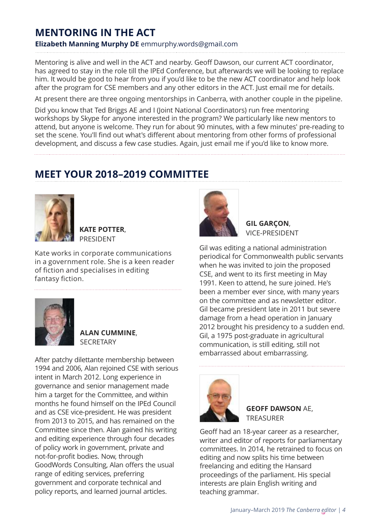# **MENTORING IN THE ACT**

# **Elizabeth Manning Murphy DE** emmurphy.words@gmail.com

Mentoring is alive and well in the ACT and nearby. Geoff Dawson, our current ACT coordinator, has agreed to stay in the role till the IPEd Conference, but afterwards we will be looking to replace him. It would be good to hear from you if you'd like to be the new ACT coordinator and help look after the program for CSE members and any other editors in the ACT. Just email me for details.

At present there are three ongoing mentorships in Canberra, with another couple in the pipeline.

Did you know that Ted Briggs AE and I (Joint National Coordinators) run free mentoring workshops by Skype for anyone interested in the program? We particularly like new mentors to attend, but anyone is welcome. They run for about 90 minutes, with a few minutes' pre-reading to set the scene. You'll find out what's different about mentoring from other forms of professional development, and discuss a few case studies. Again, just email me if you'd like to know more.

# **MEET YOUR 2018–2019 COMMITTEE**



**KATE POTTER**, PRESIDENT

Kate works in corporate communications in a government role. She is a keen reader of fiction and specialises in editing fantasy fiction.



**ALAN CUMMINE**, **SECRETARY** 

After patchy dilettante membership between 1994 and 2006, Alan rejoined CSE with serious intent in March 2012. Long experience in governance and senior management made him a target for the Committee, and within months he found himself on the IPEd Council and as CSE vice-president. He was president from 2013 to 2015, and has remained on the Committee since then. Alan gained his writing and editing experience through four decades of policy work in government, private and not-for-profit bodies. Now, through GoodWords Consulting, Alan offers the usual range of editing services, preferring government and corporate technical and policy reports, and learned journal articles.



**GIL GARҪON**, VICE-PRESIDENT

Gil was editing a national administration periodical for Commonwealth public servants when he was invited to join the proposed CSE, and went to its first meeting in May 1991. Keen to attend, he sure joined. He's been a member ever since, with many years on the committee and as newsletter editor. Gil became president late in 2011 but severe damage from a head operation in January 2012 brought his presidency to a sudden end. Gil, a 1975 post-graduate in agricultural communication, is still editing, still not embarrassed about embarrassing.



**GEOFF DAWSON** AE, TREASURER

Geoff had an 18-year career as a researcher, writer and editor of reports for parliamentary committees. In 2014, he retrained to focus on editing and now splits his time between freelancing and editing the Hansard proceedings of the parliament. His special interests are plain English writing and teaching grammar.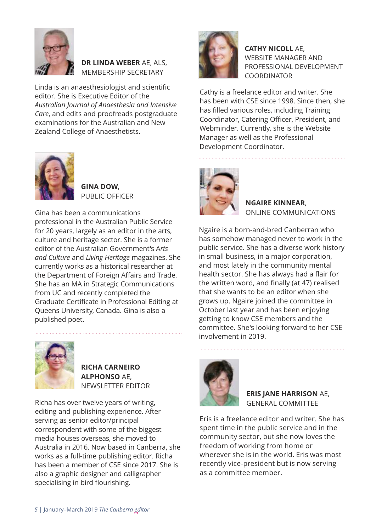

# **DR LINDA WEBER** AE, ALS, MEMBERSHIP SECRETARY

Linda is an anaesthesiologist and scientific editor. She is Executive Editor of the *Australian Journal of Anaesthesia and Intensive Care*, and edits and proofreads postgraduate examinations for the Australian and New Zealand College of Anaesthetists.



**GINA DOW**, PUBLIC OFFICER

Gina has been a communications professional in the Australian Public Service for 20 years, largely as an editor in the arts, culture and heritage sector. She is a former editor of the Australian Government's A*rts and Culture* and *Living Heritage* magazines. She currently works as a historical researcher at the Department of Foreign Affairs and Trade. She has an MA in Strategic Communications from UC and recently completed the Graduate Certificate in Professional Editing at Queens University, Canada. Gina is also a published poet.



**RICHA CARNEIRO ALPHONSO** AE, NEWSLETTER EDITOR

Richa has over twelve years of writing, editing and publishing experience. After serving as senior editor/principal correspondent with some of the biggest media houses overseas, she moved to Australia in 2016. Now based in Canberra, she works as a full-time publishing editor. Richa has been a member of CSE since 2017. She is also a graphic designer and calligrapher specialising in bird flourishing.



**CATHY NICOLL** AE, WEBSITE MANAGER AND PROFESSIONAL DEVELOPMENT **COORDINATOR** 

Cathy is a freelance editor and writer. She has been with CSE since 1998. Since then, she has filled various roles, including Training Coordinator, Catering Officer, President, and Webminder. Currently, she is the Website Manager as well as the Professional Development Coordinator.



**NGAIRE KINNEAR**, ONLINE COMMUNICATIONS

Ngaire is a born-and-bred Canberran who has somehow managed never to work in the public service. She has a diverse work history in small business, in a major corporation, and most lately in the community mental health sector. She has always had a flair for the written word, and finally (at 47) realised that she wants to be an editor when she grows up. Ngaire joined the committee in October last year and has been enjoying getting to know CSE members and the committee. She's looking forward to her CSE involvement in 2019.



**ERIS JANE HARRISON** AE, GENERAL COMMITTEE

Eris is a freelance editor and writer. She has spent time in the public service and in the community sector, but she now loves the freedom of working from home or wherever she is in the world. Eris was most recently vice-president but is now serving as a committee member.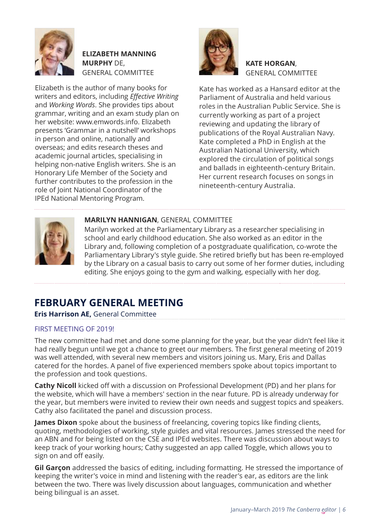

**ELIZABETH MANNING MURPHY** DE, GENERAL COMMITTEE

Elizabeth is the author of many books for writers and editors, including *Effective Writing* and *Working Words*. She provides tips about grammar, writing and an exam study plan on her website: www.emwords.info. Elizabeth presents 'Grammar in a nutshell' workshops in person and online, nationally and overseas; and edits research theses and academic journal articles, specialising in helping non-native English writers. She is an Honorary Life Member of the Society and further contributes to the profession in the role of Joint National Coordinator of the IPEd National Mentoring Program.



## **KATE HORGAN**, GENERAL COMMITTEE

Kate has worked as a Hansard editor at the Parliament of Australia and held various roles in the Australian Public Service. She is currently working as part of a project reviewing and updating the library of publications of the Royal Australian Navy. Kate completed a PhD in English at the Australian National University, which explored the circulation of political songs and ballads in eighteenth-century Britain. Her current research focuses on songs in nineteenth-century Australia.



# **MARILYN HANNIGAN**, GENERAL COMMITTEE

Marilyn worked at the Parliamentary Library as a researcher specialising in school and early childhood education. She also worked as an editor in the Library and, following completion of a postgraduate qualification, co-wrote the Parliamentary Library's style guide. She retired briefly but has been re-employed by the Library on a casual basis to carry out some of her former duties, including editing. She enjoys going to the gym and walking, especially with her dog.

# **FEBRUARY GENERAL MEETING**

**Eris Harrison AE,** General Committee

# FIRST MEETING OF 2019!

The new committee had met and done some planning for the year, but the year didn't feel like it had really begun until we got a chance to greet our members. The first general meeting of 2019 was well attended, with several new members and visitors joining us. Mary, Eris and Dallas catered for the hordes. A panel of five experienced members spoke about topics important to the profession and took questions.

**Cathy Nicoll** kicked off with a discussion on Professional Development (PD) and her plans for the website, which will have a members' section in the near future. PD is already underway for the year, but members were invited to review their own needs and suggest topics and speakers. Cathy also facilitated the panel and discussion process.

**James Dixon** spoke about the business of freelancing, covering topics like finding clients, quoting, methodologies of working, style guides and vital resources. James stressed the need for an ABN and for being listed on the CSE and IPEd websites. There was discussion about ways to keep track of your working hours; Cathy suggested an app called Toggle, which allows you to sign on and off easily.

**Gil Garçon** addressed the basics of editing, including formatting. He stressed the importance of keeping the writer's voice in mind and listening with the reader's ear, as editors are the link between the two. There was lively discussion about languages, communication and whether being bilingual is an asset.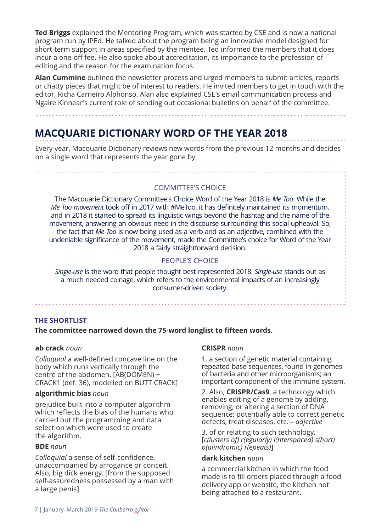**Ted Briggs** explained the Mentoring Program, which was started by CSE and is now a national program run by IPEd. He talked about the program being an innovative model designed for short-term support in areas specified by the mentee. Ted informed the members that it does incur a one-off fee. He also spoke about accreditation, its importance to the profession of editing and the reason for the examination focus.

**Alan Cummine** outlined the newsletter process and urged members to submit articles, reports or chatty pieces that might be of interest to readers. He invited members to get in touch with the editor, Richa Carneiro Alphonso. Alan also explained CSE's email communication process and Ngaire Kinnear's current role of sending out occasional bulletins on behalf of the committee.

# **MACQUARIE DICTIONARY WORD OF THE YEAR 2018**

Every year, Macquarie Dictionary reviews new words from the previous 12 months and decides on a single word that represents the year gone by.

# COMMITTEE'S CHOICE

The Macquarie Dictionary Committee's Choice Word of the Year 2018 is *Me Too*. While the *Me Too movement* took off in 2017 with #MeToo, it has definitely maintained its momentum, and in 2018 it started to spread its linguistic wings beyond the hashtag and the name of the movement, answering an obvious need in the discourse surrounding this social upheaval. So, the fact that *Me Too* is now being used as a verb and as an adjective, combined with the undeniable significance of the movement, made the Committee's choice for Word of the Year 2018 a fairly straightforward decision.

# PEOPLE'S CHOICE

*Single-use* is the word that people thought best represented 2018. *Single-use* stands out as a much needed coinage, which refers to the environmental impacts of an increasingly consumer-driven society.

## **THE SHORTLIST**

## **The committee narrowed down the 75-word longlist to fifteen words.**

#### **ab crack** *noun*

*Colloquial* a well-defined concave line on the body which runs vertically through the centre of the abdomen. [AB(DOMEN) + CRACK1 (def. 36), modelled on BUTT CRACK]

#### **algorithmic bias** *noun*

prejudice built into a computer algorithm which reflects the bias of the humans who carried out the programming and data selection which were used to create the algorithm.

#### **BDE** *noun*

*Colloquial* a sense of self-confidence, unaccompanied by arrogance or conceit. Also, big dick energy. [from the supposed self-assuredness possessed by a man with a large penis]

#### **CRISPR** *noun*

1. a section of genetic material containing repeated base sequences, found in genomes of bacteria and other microorganisms; an important component of the immune system.

2. Also, **CRISPR/Cas9**. a technology which enables editing of a genome by adding, removing, or altering a section of DNA sequence; potentially able to correct genetic defects, treat diseases, etc. – *adjective* 

3. of or relating to such technology. [*c(lusters of) r(egularly) i(nterspaced) s(hort) p(alindromic) r(epeats)*]

#### **dark kitchen** *noun*

a commercial kitchen in which the food made is to fill orders placed through a food delivery app or website, the kitchen not being attached to a restaurant.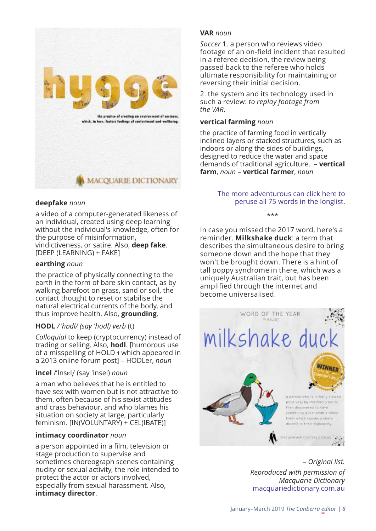

# **deepfake** *noun*

a video of a computer-generated likeness of an individual, created using deep learning without the individual's knowledge, often for the purpose of misinformation, vindictiveness, or satire. Also, **deep fake**. [DEEP (LEARNING) + FAKE]

## **earthing** *noun*

the practice of physically connecting to the earth in the form of bare skin contact, as by walking barefoot on grass, sand or soil, the contact thought to reset or stabilise the natural electrical currents of the body, and thus improve health. Also, **grounding**.

## **HODL** */ˈhɒdl/ (say 'hodl) verb* (t)

*Colloquial* to keep (cryptocurrency) instead of trading or selling. Also, **hodl**. [humorous use of a misspelling of HOLD 1 which appeared in a 2013 online forum post] – HODLer, *noun*

#### **incel** /'Insɛl/ (say 'insel) *noun*

a man who believes that he is entitled to have sex with women but is not attractive to them, often because of his sexist attitudes and crass behaviour, and who blames his situation on society at large, particularly feminism. [IN(VOLUNTARY) + CEL(IBATE)]

#### **intimacy coordinator** *noun*

a person appointed in a film, television or stage production to supervise and sometimes choreograph scenes containing nudity or sexual activity, the role intended to protect the actor or actors involved, especially from sexual harassment. Also, **intimacy director**.

## **VAR** *noun*

*Soccer* 1. a person who reviews video footage of an on-field incident that resulted in a referee decision, the review being passed back to the referee who holds ultimate responsibility for maintaining or reversing their initial decision.

2. the system and its technology used in such a review: *to replay footage from the VAR*.

## **vertical farming** *noun*

the practice of farming food in vertically inclined layers or stacked structures, such as indoors or along the sides of buildings, designed to reduce the water and space demands of traditional agriculture. – **vertical farm**, *noun* – **vertical farmer**, *noun*

## The more adventurous can [click here t](https://media-macquarie-wspdigitalproduction-com.s3.amazonaws.com/media/hosted_files/Macquarie_Dictionary_Word_of_the_Year_2018_Longlist.pdf)o peruse all 75 words in the longlist.

\*\*\*

In case you missed the 2017 word, here's a reminder. **Milkshake duck**: a term that describes the simultaneous desire to bring someone down and the hope that they won't be brought down. There is a hint of tall poppy syndrome in there, which was a uniquely Australian trait, but has been amplified through the internet and become universalised.



*– Original list. Reproduced with permission of Macquarie Dictionary* macquariedictionary.com.au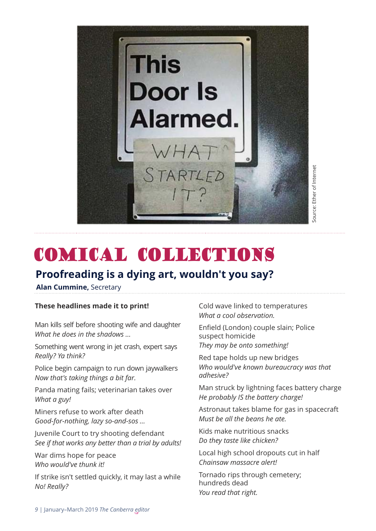

# COMICAL COLLECTIONS

# **Proofreading is a dying art, wouldn't you say?**

**Alan Cummine,** Secretary

## **These headlines made it to print!**

Man kills self before shooting wife and daughter *What he does in the shadows …*

Something went wrong in jet crash, expert says *Really? Ya think?*

Police begin campaign to run down jaywalkers *Now that's taking things a bit far.*

Panda mating fails; veterinarian takes over *What a guy!*

Miners refuse to work after death *Good-for-nothing, lazy so-and-sos …*

Juvenile Court to try shooting defendant *See if that works any better than a trial by adults!*

War dims hope for peace *Who would've thunk it!*

If strike isn't settled quickly, it may last a while *No! Really?*

Cold wave linked to temperatures *What a cool observation.*

Enfield (London) couple slain; Police suspect homicide *They may be onto something!*

Red tape holds up new bridges *Who would've known bureaucracy was that adhesive?*

Man struck by lightning faces battery charge *He probably IS the battery charge!*

Astronaut takes blame for gas in spacecraft *Must be all the beans he ate.*

Kids make nutritious snacks *Do they taste like chicken?*

Local high school dropouts cut in half *Chainsaw massacre alert!* 

Tornado rips through cemetery; hundreds dead *You read that right.*